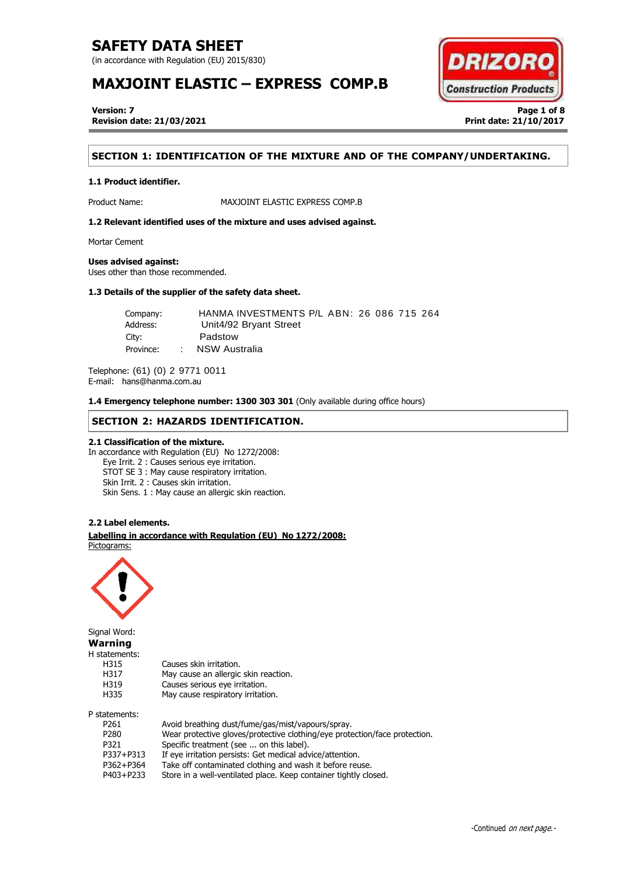(in accordance with Regulation (EU) 2015/830)

# **MAXJOINT ELASTIC – EXPRESS COMP.B**



**Version: 7 Page 1 of 8 Revision date: 21/03/2021 Print date: 21/10/2017**

## **SECTION 1: IDENTIFICATION OF THE MIXTURE AND OF THE COMPANY/UNDERTAKING.**

## **1.1 Product identifier.**

Product Name: MAXJOINT ELASTIC EXPRESS COMP.B

**1.2 Relevant identified uses of the mixture and uses advised against.**

Mortar Cement

## **Uses advised against:**

Uses other than those recommended.

## **1.3 Details of the supplier of the safety data sheet.**

| Company:  | HANMA INVESTMENTS P/L ABN: 26 086 715 264 |  |
|-----------|-------------------------------------------|--|
| Address:  | Unit4/92 Bryant Street                    |  |
| City:     | Padstow                                   |  |
| Province: | NSW Australia                             |  |

Telephone: (61) (0) 2 9771 0011 E-mail: hans@hanma.com.au

**1.4 Emergency telephone number: 1300 303 301** (Only available during office hours)

## **SECTION 2: HAZARDS IDENTIFICATION.**

## **2.1 Classification of the mixture.**

In accordance with Regulation (EU) No 1272/2008: Eye Irrit. 2 : Causes serious eye irritation. STOT SE 3 : May cause respiratory irritation. Skin Irrit. 2 : Causes skin irritation. Skin Sens. 1 : May cause an allergic skin reaction.

## **2.2 Label elements.**

. . **Labelling in accordance with Regulation (EU) No 1272/2008:** Pictograms:



Signal Word: **Warning**

H statements:

| H315             | Causes skin irritation.                                                    |
|------------------|----------------------------------------------------------------------------|
| H317             | May cause an allergic skin reaction.                                       |
| H319             | Causes serious eye irritation.                                             |
| H335             | May cause respiratory irritation.                                          |
| P statements:    |                                                                            |
| P <sub>261</sub> | Avoid breathing dust/fume/gas/mist/vapours/spray.                          |
| P <sub>280</sub> | Wear protective gloves/protective clothing/eye protection/face protection. |
| ----             |                                                                            |

P321 Specific treatment (see ... on this label).

- P337+P313 If eye irritation persists: Get medical advice/attention.
- P362+P364 Take off contaminated clothing and wash it before reuse.<br>P403+P233 Store in a well-ventilated place. Keep container tightly clo

Store in a well-ventilated place. Keep container tightly closed.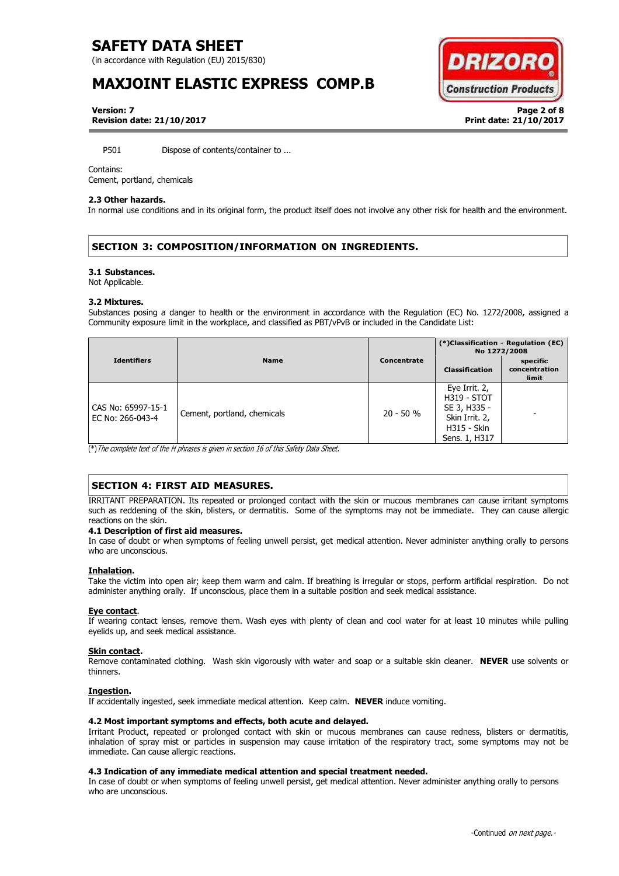(in accordance with Regulation (EU) 2015/830)

# **MAXJOINT ELASTIC EXPRESS COMP.B**



**Version: 7 Page 2 of 8 Revision date: 21/10/2017 Print date: 21/10/2017**

P501 Dispose of contents/container to ...

### Contains:

Cement, portland, chemicals

### **2.3 Other hazards.**

In normal use conditions and in its original form, the product itself does not involve any other risk for health and the environment.

## **SECTION 3: COMPOSITION/INFORMATION ON INGREDIENTS.**

#### **3.1 Substances.**

Not Applicable.

### **3.2 Mixtures.**

Substances posing a danger to health or the environment in accordance with the Regulation (EC) No. 1272/2008, assigned a Community exposure limit in the workplace, and classified as PBT/vPvB or included in the Candidate List:

|                                        |                             |             | (*)Classification - Regulation (EC)<br>No 1272/2008                                                          |                                    |
|----------------------------------------|-----------------------------|-------------|--------------------------------------------------------------------------------------------------------------|------------------------------------|
| <b>Identifiers</b>                     | <b>Name</b>                 | Concentrate | <b>Classification</b>                                                                                        | specific<br>concentration<br>limit |
| CAS No: 65997-15-1<br>EC No: 266-043-4 | Cement, portland, chemicals | $20 - 50 %$ | Eye Irrit. 2,<br><b>H319 - STOT</b><br>SE 3, H335 -<br>Skin Irrit. 2,<br><b>H315 - Skin</b><br>Sens. 1, H317 |                                    |

(\*)The complete text of the H phrases is given in section 16 of this Safety Data Sheet.

## **SECTION 4: FIRST AID MEASURES.**

IRRITANT PREPARATION. Its repeated or prolonged contact with the skin or mucous membranes can cause irritant symptoms such as reddening of the skin, blisters, or dermatitis. Some of the symptoms may not be immediate. They can cause allergic reactions on the skin.

## **4.1 Description of first aid measures.**

In case of doubt or when symptoms of feeling unwell persist, get medical attention. Never administer anything orally to persons who are unconscious.

## **Inhalation.**

Take the victim into open air; keep them warm and calm. If breathing is irregular or stops, perform artificial respiration. Do not administer anything orally. If unconscious, place them in a suitable position and seek medical assistance.

## **Eye contact**.

If wearing contact lenses, remove them. Wash eyes with plenty of clean and cool water for at least 10 minutes while pulling eyelids up, and seek medical assistance.

## **Skin contact.**

Remove contaminated clothing. Wash skin vigorously with water and soap or a suitable skin cleaner. **NEVER** use solvents or thinners.

## **Ingestion.**

If accidentally ingested, seek immediate medical attention. Keep calm. **NEVER** induce vomiting.

## **4.2 Most important symptoms and effects, both acute and delayed.**

Irritant Product, repeated or prolonged contact with skin or mucous membranes can cause redness, blisters or dermatitis, inhalation of spray mist or particles in suspension may cause irritation of the respiratory tract, some symptoms may not be immediate. Can cause allergic reactions.

## **4.3 Indication of any immediate medical attention and special treatment needed.**

In case of doubt or when symptoms of feeling unwell persist, get medical attention. Never administer anything orally to persons who are unconscious.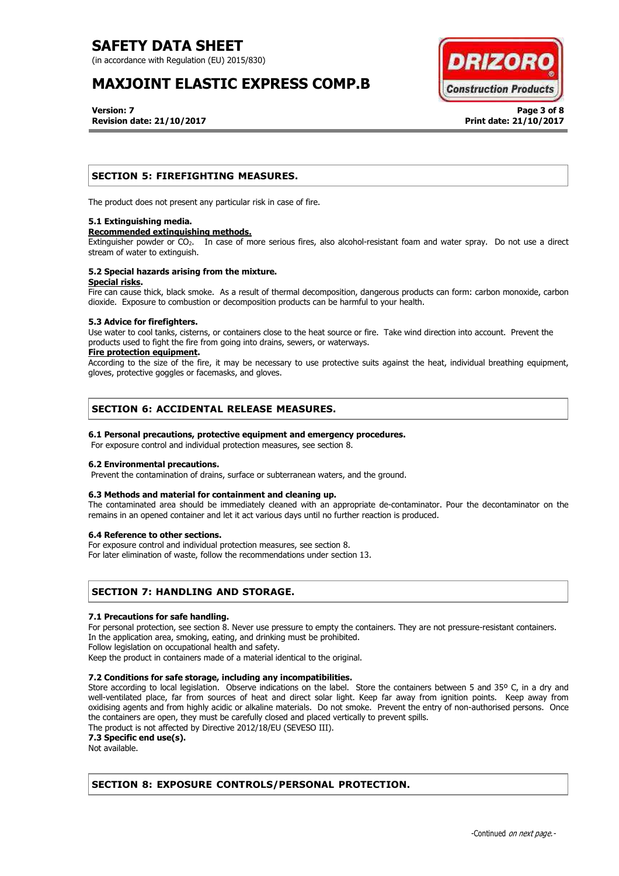(in accordance with Regulation (EU) 2015/830)

# **MAXJOINT ELASTIC EXPRESS COMP.B**



**Version: 7 Page 3 of 8 Revision date: 21/10/2017 Print date: 21/10/2017**

## **SECTION 5: FIREFIGHTING MEASURES.**

The product does not present any particular risk in case of fire.

## **5.1 Extinguishing media.**

## **Recommended extinguishing methods.**

Extinguisher powder or CO<sub>2</sub>. In case of more serious fires, also alcohol-resistant foam and water spray. Do not use a direct stream of water to extinguish.

### **5.2 Special hazards arising from the mixture. Special risks.**

Fire can cause thick, black smoke. As a result of thermal decomposition, dangerous products can form: carbon monoxide, carbon dioxide. Exposure to combustion or decomposition products can be harmful to your health.

## **5.3 Advice for firefighters.**

Use water to cool tanks, cisterns, or containers close to the heat source or fire. Take wind direction into account. Prevent the products used to fight the fire from going into drains, sewers, or waterways.

## **Fire protection equipment.**

According to the size of the fire, it may be necessary to use protective suits against the heat, individual breathing equipment, gloves, protective goggles or facemasks, and gloves.

## **SECTION 6: ACCIDENTAL RELEASE MEASURES.**

## **6.1 Personal precautions, protective equipment and emergency procedures.**

For exposure control and individual protection measures, see section 8.

## **6.2 Environmental precautions.**

Prevent the contamination of drains, surface or subterranean waters, and the ground.

## **6.3 Methods and material for containment and cleaning up.**

The contaminated area should be immediately cleaned with an appropriate de-contaminator. Pour the decontaminator on the remains in an opened container and let it act various days until no further reaction is produced.

## **6.4 Reference to other sections.**

For exposure control and individual protection measures, see section 8.

For later elimination of waste, follow the recommendations under section 13.

## **SECTION 7: HANDLING AND STORAGE.**

## **7.1 Precautions for safe handling.**

For personal protection, see section 8. Never use pressure to empty the containers. They are not pressure-resistant containers. In the application area, smoking, eating, and drinking must be prohibited.

Follow legislation on occupational health and safety.

Keep the product in containers made of a material identical to the original.

## **7.2 Conditions for safe storage, including any incompatibilities.**

Store according to local legislation. Observe indications on the label. Store the containers between 5 and 35° C, in a dry and well-ventilated place, far from sources of heat and direct solar light. Keep far away from ignition points. Keep away from oxidising agents and from highly acidic or alkaline materials. Do not smoke. Prevent the entry of non-authorised persons. Once the containers are open, they must be carefully closed and placed vertically to prevent spills.

The product is not affected by Directive 2012/18/EU (SEVESO III).

**7.3 Specific end use(s).**

Not available.

## **SECTION 8: EXPOSURE CONTROLS/PERSONAL PROTECTION.**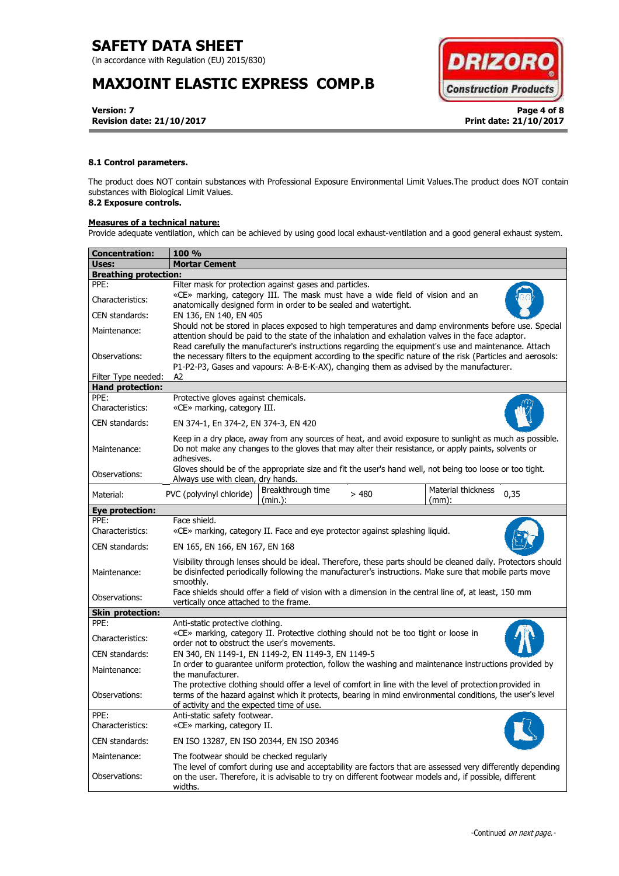(in accordance with Regulation (EU) 2015/830)

# **MAXJOINT ELASTIC EXPRESS COMP.B**



**Version: 7 Page 4 of 8 Revision date: 21/10/2017 Print date: 21/10/2017**

## **8.1 Control parameters.**

The product does NOT contain substances with Professional Exposure Environmental Limit Values.The product does NOT contain substances with Biological Limit Values.

# **8.2 Exposure controls.**

## **Measures of a technical nature:**

Provide adequate ventilation, which can be achieved by using good local exhaust-ventilation and a good general exhaust system.

| Concentration:               | <b>100 %</b>                                                                                                                                                                                                                                                                                                        |  |  |  |
|------------------------------|---------------------------------------------------------------------------------------------------------------------------------------------------------------------------------------------------------------------------------------------------------------------------------------------------------------------|--|--|--|
| Uses:                        | <b>Mortar Cement</b>                                                                                                                                                                                                                                                                                                |  |  |  |
| <b>Breathing protection:</b> |                                                                                                                                                                                                                                                                                                                     |  |  |  |
| PPE:                         | Filter mask for protection against gases and particles.                                                                                                                                                                                                                                                             |  |  |  |
| Characteristics:             | «CE» marking, category III. The mask must have a wide field of vision and an<br>anatomically designed form in order to be sealed and watertight.                                                                                                                                                                    |  |  |  |
| CEN standards:               | EN 136, EN 140, EN 405                                                                                                                                                                                                                                                                                              |  |  |  |
| Maintenance:                 | Should not be stored in places exposed to high temperatures and damp environments before use. Special<br>attention should be paid to the state of the inhalation and exhalation valves in the face adaptor.<br>Read carefully the manufacturer's instructions regarding the equipment's use and maintenance. Attach |  |  |  |
| Observations:                | the necessary filters to the equipment according to the specific nature of the risk (Particles and aerosols:<br>P1-P2-P3, Gases and vapours: A-B-E-K-AX), changing them as advised by the manufacturer.                                                                                                             |  |  |  |
| Filter Type needed:          | A2                                                                                                                                                                                                                                                                                                                  |  |  |  |
| <b>Hand protection:</b>      |                                                                                                                                                                                                                                                                                                                     |  |  |  |
| PPE:<br>Characteristics:     | Protective gloves against chemicals.<br>«CE» marking, category III.                                                                                                                                                                                                                                                 |  |  |  |
| CEN standards:               | EN 374-1, En 374-2, EN 374-3, EN 420                                                                                                                                                                                                                                                                                |  |  |  |
| Maintenance:                 | Keep in a dry place, away from any sources of heat, and avoid exposure to sunlight as much as possible.<br>Do not make any changes to the gloves that may alter their resistance, or apply paints, solvents or<br>adhesives.                                                                                        |  |  |  |
| Observations:                | Gloves should be of the appropriate size and fit the user's hand well, not being too loose or too tight.<br>Always use with clean, dry hands.                                                                                                                                                                       |  |  |  |
| Material:                    | Breakthrough time<br>Material thickness<br>PVC (polyvinyl chloride)<br>>480<br>0,35<br>(min.):<br>$(mm)$ :                                                                                                                                                                                                          |  |  |  |
| <b>Eye protection:</b>       |                                                                                                                                                                                                                                                                                                                     |  |  |  |
| PPE:<br>Characteristics:     | Face shield.<br>«CE» marking, category II. Face and eye protector against splashing liquid.                                                                                                                                                                                                                         |  |  |  |
| CEN standards:               | EN 165, EN 166, EN 167, EN 168                                                                                                                                                                                                                                                                                      |  |  |  |
| Maintenance:                 | Visibility through lenses should be ideal. Therefore, these parts should be cleaned daily. Protectors should<br>be disinfected periodically following the manufacturer's instructions. Make sure that mobile parts move<br>smoothly.                                                                                |  |  |  |
| Observations:                | Face shields should offer a field of vision with a dimension in the central line of, at least, 150 mm<br>vertically once attached to the frame.                                                                                                                                                                     |  |  |  |
| <b>Skin protection:</b>      |                                                                                                                                                                                                                                                                                                                     |  |  |  |
| PPE:                         | Anti-static protective clothing.                                                                                                                                                                                                                                                                                    |  |  |  |
| Characteristics:             | «CE» marking, category II. Protective clothing should not be too tight or loose in<br>order not to obstruct the user's movements.                                                                                                                                                                                   |  |  |  |
| CEN standards:               | EN 340, EN 1149-1, EN 1149-2, EN 1149-3, EN 1149-5                                                                                                                                                                                                                                                                  |  |  |  |
| Maintenance:                 | In order to quarantee uniform protection, follow the washing and maintenance instructions provided by<br>the manufacturer.                                                                                                                                                                                          |  |  |  |
| Observations:                | The protective clothing should offer a level of comfort in line with the level of protection provided in<br>terms of the hazard against which it protects, bearing in mind environmental conditions, the user's level<br>of activity and the expected time of use.                                                  |  |  |  |
| PPE:<br>Characteristics:     | Anti-static safety footwear.<br>«CE» marking, category II.                                                                                                                                                                                                                                                          |  |  |  |
| CEN standards:               | EN ISO 13287, EN ISO 20344, EN ISO 20346                                                                                                                                                                                                                                                                            |  |  |  |
| Maintenance:                 | The footwear should be checked regularly                                                                                                                                                                                                                                                                            |  |  |  |
| Observations:                | The level of comfort during use and acceptability are factors that are assessed very differently depending<br>on the user. Therefore, it is advisable to try on different footwear models and, if possible, different<br>widths.                                                                                    |  |  |  |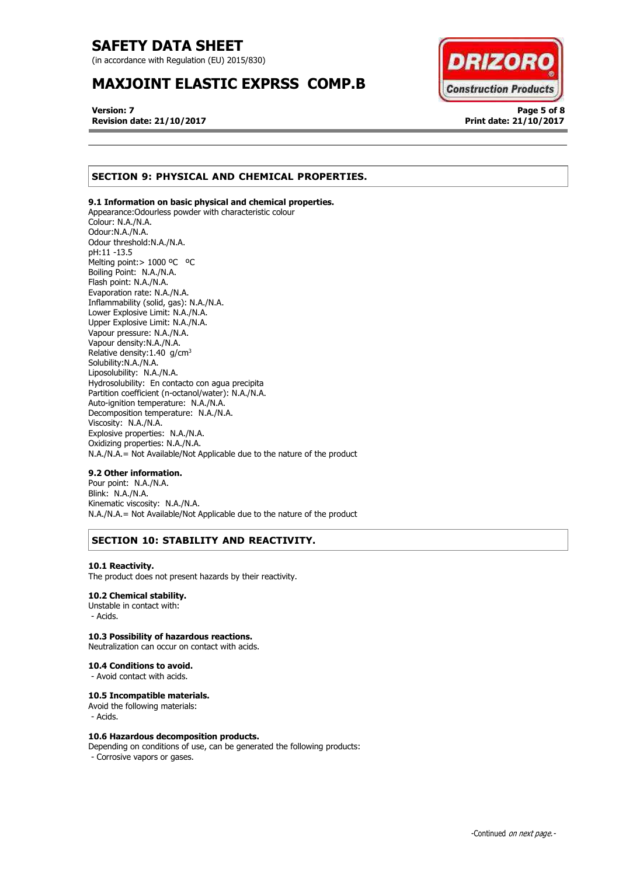(in accordance with Regulation (EU) 2015/830)

# **MAXJOINT ELASTIC EXPRSS COMP.B**



**Version: 7 Page 5 of 8 Revision date: 21/10/2017 Print date: 21/10/2017**

# **SECTION 9: PHYSICAL AND CHEMICAL PROPERTIES.**

## **9.1 Information on basic physical and chemical properties.**

Appearance:Odourless powder with characteristic colour Colour: N.A./N.A. Odour:N.A./N.A. Odour threshold:N.A./N.A. pH:11 -13.5 Melting point: > 1000 °C °C Boiling Point: N.A./N.A. Flash point: N.A./N.A. Evaporation rate: N.A./N.A. Inflammability (solid, gas): N.A./N.A. Lower Explosive Limit: N.A./N.A. Upper Explosive Limit: N.A./N.A. Vapour pressure: N.A./N.A. Vapour density:N.A./N.A. Relative density:  $1.40$  g/cm<sup>3</sup> Solubility:N.A./N.A. Liposolubility: N.A./N.A. Hydrosolubility: En contacto con agua precipita Partition coefficient (n-octanol/water): N.A./N.A. Auto-ignition temperature: N.A./N.A. Decomposition temperature: N.A./N.A. Viscosity: N.A./N.A. Explosive properties: N.A./N.A. Oxidizing properties: N.A./N.A. N.A./N.A.= Not Available/Not Applicable due to the nature of the product

## **9.2 Other information.**

Pour point: N.A./N.A. Blink: N.A./N.A. Kinematic viscosity: N.A./N.A. N.A./N.A.= Not Available/Not Applicable due to the nature of the product

## **SECTION 10: STABILITY AND REACTIVITY.**

#### **10.1 Reactivity.**

The product does not present hazards by their reactivity.

## **10.2 Chemical stability.**

Unstable in contact with: - Acids.

### **10.3 Possibility of hazardous reactions.**

Neutralization can occur on contact with acids.

## **10.4 Conditions to avoid.**

- Avoid contact with acids.

## **10.5 Incompatible materials.**

Avoid the following materials: - Acids.

## **10.6 Hazardous decomposition products.**

Depending on conditions of use, can be generated the following products: - Corrosive vapors or gases.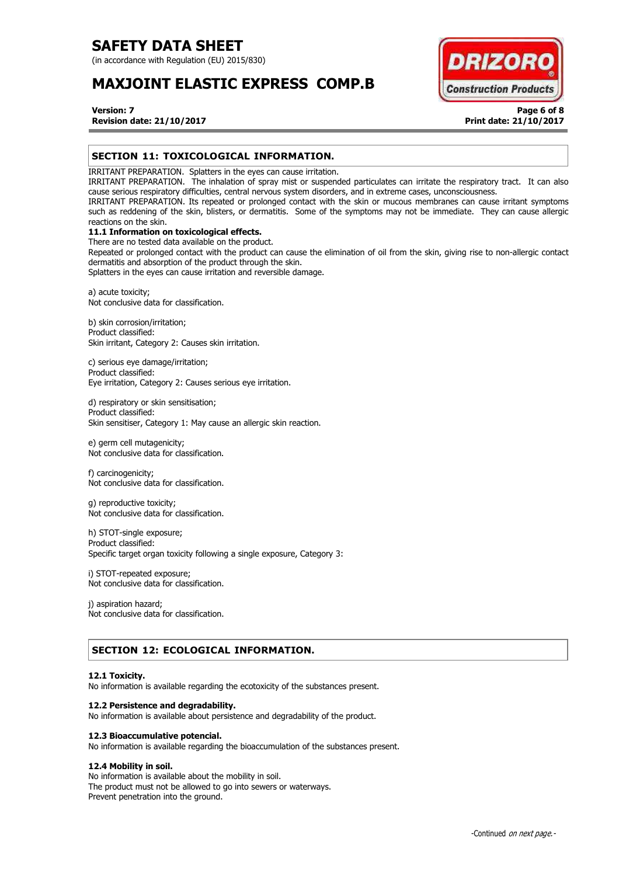(in accordance with Regulation (EU) 2015/830)

# **MAXJOINT ELASTIC EXPRESS COMP.B**



## **Version: 7 Page 6 of 8 Revision date: 21/10/2017 Print date: 21/10/2017**

## **SECTION 11: TOXICOLOGICAL INFORMATION.**

IRRITANT PREPARATION. Splatters in the eyes can cause irritation.

IRRITANT PREPARATION. The inhalation of spray mist or suspended particulates can irritate the respiratory tract. It can also cause serious respiratory difficulties, central nervous system disorders, and in extreme cases, unconsciousness.

IRRITANT PREPARATION. Its repeated or prolonged contact with the skin or mucous membranes can cause irritant symptoms such as reddening of the skin, blisters, or dermatitis. Some of the symptoms may not be immediate. They can cause allergic reactions on the skin.

## **11.1 Information on toxicological effects.**

There are no tested data available on the product. Repeated or prolonged contact with the product can cause the elimination of oil from the skin, giving rise to non-allergic contact dermatitis and absorption of the product through the skin.

Splatters in the eyes can cause irritation and reversible damage.

a) acute toxicity; Not conclusive data for classification.

b) skin corrosion/irritation; Product classified: Skin irritant, Category 2: Causes skin irritation.

c) serious eye damage/irritation; Product classified: Eye irritation, Category 2: Causes serious eye irritation.

d) respiratory or skin sensitisation; Product classified: Skin sensitiser, Category 1: May cause an allergic skin reaction.

e) germ cell mutagenicity; Not conclusive data for classification.

f) carcinogenicity; Not conclusive data for classification.

g) reproductive toxicity; Not conclusive data for classification.

h) STOT-single exposure; Product classified: Specific target organ toxicity following a single exposure, Category 3:

i) STOT-repeated exposure; Not conclusive data for classification.

j) aspiration hazard; Not conclusive data for classification.

## **SECTION 12: ECOLOGICAL INFORMATION.**

## **12.1 Toxicity.**

No information is available regarding the ecotoxicity of the substances present.

## **12.2 Persistence and degradability.**

No information is available about persistence and degradability of the product.

## **12.3 Bioaccumulative potencial.**

No information is available regarding the bioaccumulation of the substances present.

## **12.4 Mobility in soil.**

No information is available about the mobility in soil. The product must not be allowed to go into sewers or waterways. Prevent penetration into the ground.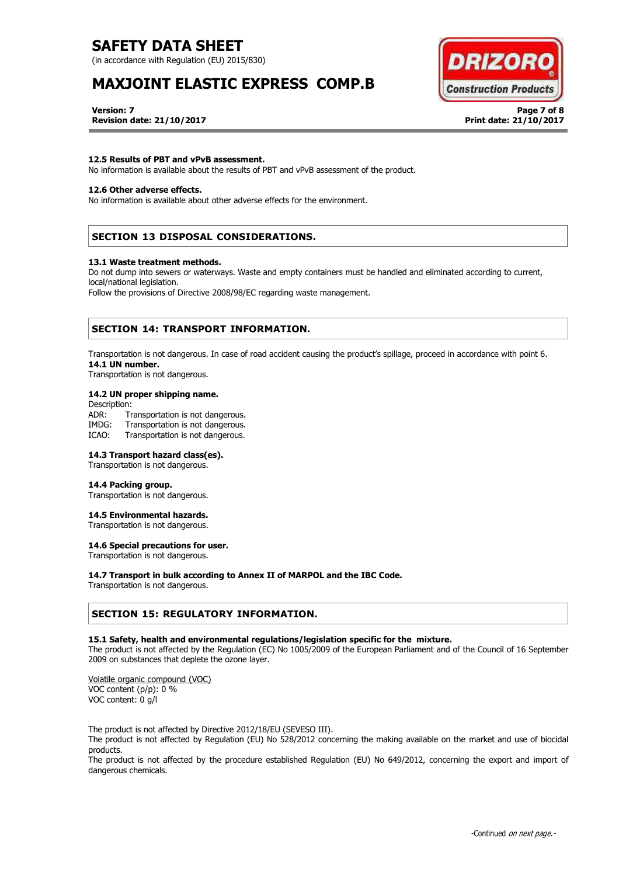(in accordance with Regulation (EU) 2015/830)

# **MAXJOINT ELASTIC EXPRESS COMP.B**



**Version: 7 Page 7 of 8 Revision date: 21/10/2017 Print date: 21/10/2017**

## **12.5 Results of PBT and vPvB assessment.**

No information is available about the results of PBT and vPvB assessment of the product.

## **12.6 Other adverse effects.**

No information is available about other adverse effects for the environment.

## **SECTION 13 DISPOSAL CONSIDERATIONS.**

#### **13.1 Waste treatment methods.**

Do not dump into sewers or waterways. Waste and empty containers must be handled and eliminated according to current, local/national legislation.

Follow the provisions of Directive 2008/98/EC regarding waste management.

## **SECTION 14: TRANSPORT INFORMATION.**

Transportation is not dangerous. In case of road accident causing the product's spillage, proceed in accordance with point 6. **14.1 UN number.**

Transportation is not dangerous.

## **14.2 UN proper shipping name.**

Description: ADR: Transportation is not dangerous.<br>IMDG: Transportation is not dangerous. Transportation is not dangerous. ICAO: Transportation is not dangerous.

## **14.3 Transport hazard class(es).**

Transportation is not dangerous.

## **14.4 Packing group.**

Transportation is not dangerous.

## **14.5 Environmental hazards.**

Transportation is not dangerous.

## **14.6 Special precautions for user.**

Transportation is not dangerous.

## **14.7 Transport in bulk according to Annex II of MARPOL and the IBC Code.**

Transportation is not dangerous.

## **SECTION 15: REGULATORY INFORMATION.**

## **15.1 Safety, health and environmental regulations/legislation specific for the mixture.**

The product is not affected by the Regulation (EC) No 1005/2009 of the European Parliament and of the Council of 16 September 2009 on substances that deplete the ozone layer.

Volatile organic compound (VOC) VOC content (p/p): 0 % VOC content: 0 g/l

The product is not affected by Directive 2012/18/EU (SEVESO III).

The product is not affected by Regulation (EU) No 528/2012 concerning the making available on the market and use of biocidal products.

The product is not affected by the procedure established Regulation (EU) No 649/2012, concerning the export and import of dangerous chemicals.